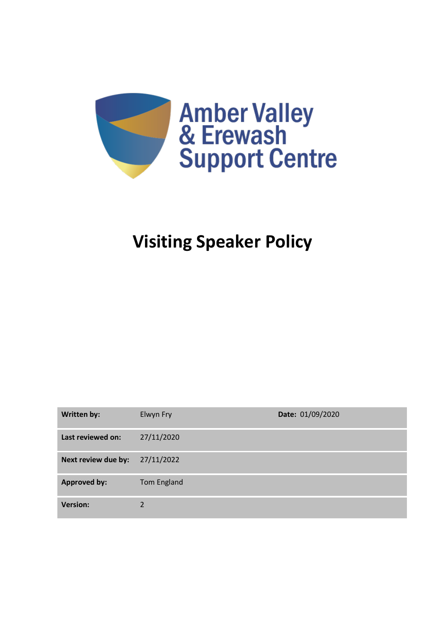

# **Visiting Speaker Policy**

| <b>Written by:</b>  | Elwyn Fry   | Date: 01/09/2020 |
|---------------------|-------------|------------------|
| Last reviewed on:   | 27/11/2020  |                  |
| Next review due by: | 27/11/2022  |                  |
| <b>Approved by:</b> | Tom England |                  |
| <b>Version:</b>     | 2           |                  |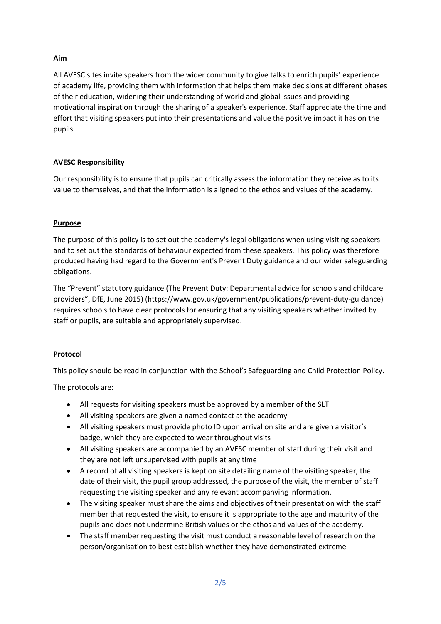# **Aim**

All AVESC sites invite speakers from the wider community to give talks to enrich pupils' experience of academy life, providing them with information that helps them make decisions at different phases of their education, widening their understanding of world and global issues and providing motivational inspiration through the sharing of a speaker's experience. Staff appreciate the time and effort that visiting speakers put into their presentations and value the positive impact it has on the pupils.

### **AVESC Responsibility**

Our responsibility is to ensure that pupils can critically assess the information they receive as to its value to themselves, and that the information is aligned to the ethos and values of the academy.

## **Purpose**

The purpose of this policy is to set out the academy's legal obligations when using visiting speakers and to set out the standards of behaviour expected from these speakers. This policy was therefore produced having had regard to the Government's Prevent Duty guidance and our wider safeguarding obligations.

The "Prevent" statutory guidance (The Prevent Duty: Departmental advice for schools and childcare providers", DfE, June 2015) (https://www.gov.uk/government/publications/prevent-duty-guidance) requires schools to have clear protocols for ensuring that any visiting speakers whether invited by staff or pupils, are suitable and appropriately supervised.

### **Protocol**

This policy should be read in conjunction with the School's Safeguarding and Child Protection Policy.

The protocols are:

- All requests for visiting speakers must be approved by a member of the SLT
- All visiting speakers are given a named contact at the academy
- All visiting speakers must provide photo ID upon arrival on site and are given a visitor's badge, which they are expected to wear throughout visits
- All visiting speakers are accompanied by an AVESC member of staff during their visit and they are not left unsupervised with pupils at any time
- A record of all visiting speakers is kept on site detailing name of the visiting speaker, the date of their visit, the pupil group addressed, the purpose of the visit, the member of staff requesting the visiting speaker and any relevant accompanying information.
- The visiting speaker must share the aims and objectives of their presentation with the staff member that requested the visit, to ensure it is appropriate to the age and maturity of the pupils and does not undermine British values or the ethos and values of the academy.
- The staff member requesting the visit must conduct a reasonable level of research on the person/organisation to best establish whether they have demonstrated extreme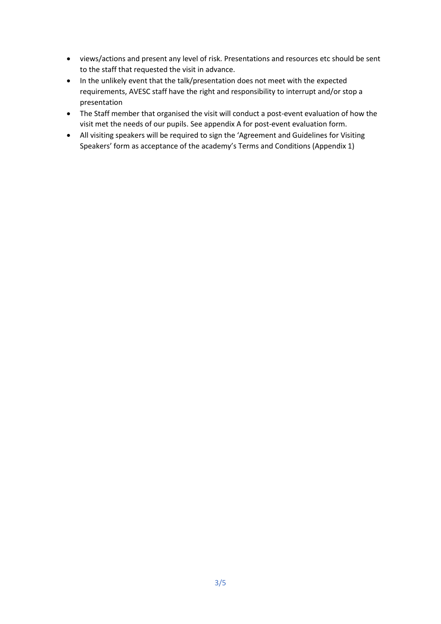- views/actions and present any level of risk. Presentations and resources etc should be sent to the staff that requested the visit in advance.
- In the unlikely event that the talk/presentation does not meet with the expected requirements, AVESC staff have the right and responsibility to interrupt and/or stop a presentation
- The Staff member that organised the visit will conduct a post-event evaluation of how the visit met the needs of our pupils. See appendix A for post-event evaluation form.
- All visiting speakers will be required to sign the 'Agreement and Guidelines for Visiting Speakers' form as acceptance of the academy's Terms and Conditions (Appendix 1)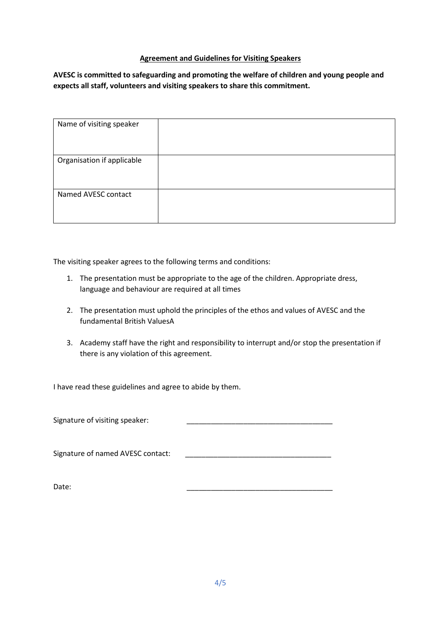#### **Agreement and Guidelines for Visiting Speakers**

**AVESC is committed to safeguarding and promoting the welfare of children and young people and expects all staff, volunteers and visiting speakers to share this commitment.**

| Name of visiting speaker   |  |
|----------------------------|--|
| Organisation if applicable |  |
| Named AVESC contact        |  |

The visiting speaker agrees to the following terms and conditions:

- 1. The presentation must be appropriate to the age of the children. Appropriate dress, language and behaviour are required at all times
- 2. The presentation must uphold the principles of the ethos and values of AVESC and the fundamental British ValuesA
- 3. Academy staff have the right and responsibility to interrupt and/or stop the presentation if there is any violation of this agreement.

I have read these guidelines and agree to abide by them.

Signature of visiting speaker:

Signature of named AVESC contact:

Date: \_\_\_\_\_\_\_\_\_\_\_\_\_\_\_\_\_\_\_\_\_\_\_\_\_\_\_\_\_\_\_\_\_\_\_\_